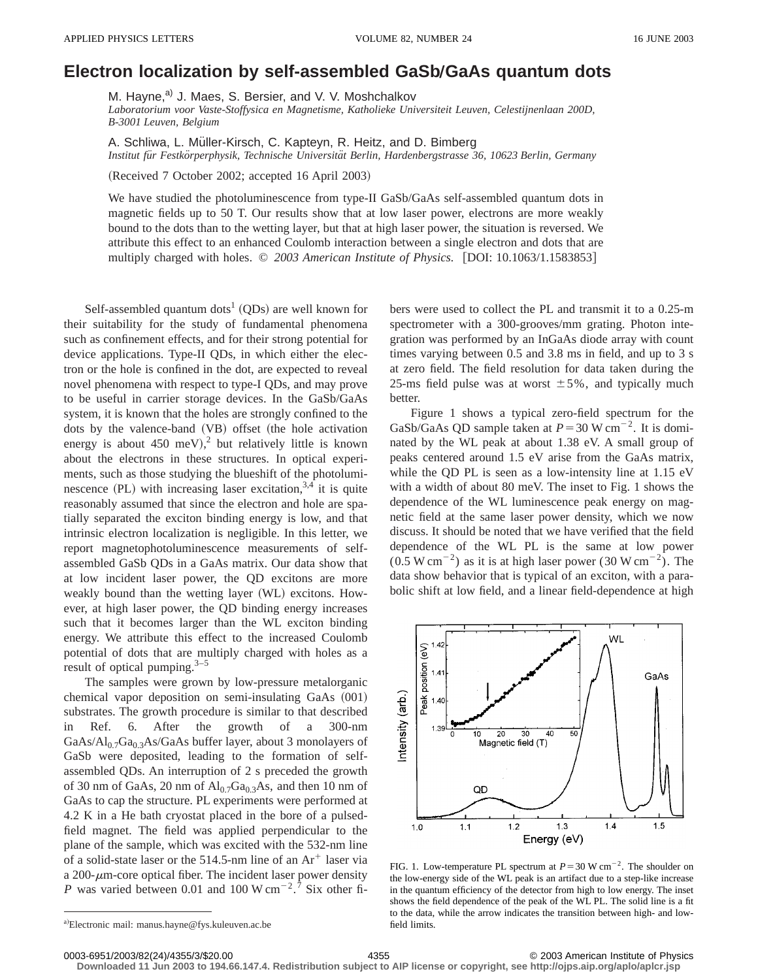## **Electron localization by self-assembled GaSb/GaAs quantum dots**

M. Hayne,<sup>a)</sup> J. Maes, S. Bersier, and V. V. Moshchalkov

*Laboratorium voor Vaste-Stoffysica en Magnetisme, Katholieke Universiteit Leuven, Celestijnenlaan 200D, B-3001 Leuven, Belgium*

A. Schliwa, L. Müller-Kirsch, C. Kapteyn, R. Heitz, and D. Bimberg

*Institut fu¨r Festko¨rperphysik, Technische Universita¨t Berlin, Hardenbergstrasse 36, 10623 Berlin, Germany*

(Received 7 October 2002; accepted 16 April 2003)

We have studied the photoluminescence from type-II GaSb/GaAs self-assembled quantum dots in magnetic fields up to 50 T. Our results show that at low laser power, electrons are more weakly bound to the dots than to the wetting layer, but that at high laser power, the situation is reversed. We attribute this effect to an enhanced Coulomb interaction between a single electron and dots that are multiply charged with holes.  $\odot$  2003 American Institute of Physics. [DOI: 10.1063/1.1583853]

Self-assembled quantum dots<sup>1</sup> (QDs) are well known for their suitability for the study of fundamental phenomena such as confinement effects, and for their strong potential for device applications. Type-II QDs, in which either the electron or the hole is confined in the dot, are expected to reveal novel phenomena with respect to type-I QDs, and may prove to be useful in carrier storage devices. In the GaSb/GaAs system, it is known that the holes are strongly confined to the dots by the valence-band (VB) offset (the hole activation energy is about 450 meV),<sup>2</sup> but relatively little is known about the electrons in these structures. In optical experiments, such as those studying the blueshift of the photoluminescence  $(PL)$  with increasing laser excitation,<sup>3,4</sup> it is quite reasonably assumed that since the electron and hole are spatially separated the exciton binding energy is low, and that intrinsic electron localization is negligible. In this letter, we report magnetophotoluminescence measurements of selfassembled GaSb QDs in a GaAs matrix. Our data show that at low incident laser power, the QD excitons are more weakly bound than the wetting layer (WL) excitons. However, at high laser power, the QD binding energy increases such that it becomes larger than the WL exciton binding energy. We attribute this effect to the increased Coulomb potential of dots that are multiply charged with holes as a result of optical pumping. $3-5$ 

The samples were grown by low-pressure metalorganic chemical vapor deposition on semi-insulating  $GaAs~(001)$ substrates. The growth procedure is similar to that described in Ref. 6. After the growth of a 300-nm GaAs/ $Al<sub>0.7</sub>Ga<sub>0.3</sub>As/GaAs$  buffer layer, about 3 monolayers of GaSb were deposited, leading to the formation of selfassembled QDs. An interruption of 2 s preceded the growth of 30 nm of GaAs, 20 nm of  $Al_0$ <sub>7</sub>Ga<sub>0.3</sub>As, and then 10 nm of GaAs to cap the structure. PL experiments were performed at 4.2 K in a He bath cryostat placed in the bore of a pulsedfield magnet. The field was applied perpendicular to the plane of the sample, which was excited with the 532-nm line of a solid-state laser or the 514.5-nm line of an  $Ar^+$  laser via a 200- $\mu$ m-core optical fiber. The incident laser power density *P* was varied between 0.01 and 100 W cm<sup>-2.7</sup> Six other fibers were used to collect the PL and transmit it to a 0.25-m spectrometer with a 300-grooves/mm grating. Photon integration was performed by an InGaAs diode array with count times varying between 0.5 and 3.8 ms in field, and up to 3 s at zero field. The field resolution for data taken during the 25-ms field pulse was at worst  $\pm 5\%$ , and typically much better.

Figure 1 shows a typical zero-field spectrum for the GaSb/GaAs QD sample taken at  $P = 30$  W cm<sup>-2</sup>. It is dominated by the WL peak at about 1.38 eV. A small group of peaks centered around 1.5 eV arise from the GaAs matrix, while the QD PL is seen as a low-intensity line at 1.15 eV with a width of about 80 meV. The inset to Fig. 1 shows the dependence of the WL luminescence peak energy on magnetic field at the same laser power density, which we now discuss. It should be noted that we have verified that the field dependence of the WL PL is the same at low power  $(0.5 \text{ W cm}^{-2})$  as it is at high laser power  $(30 \text{ W cm}^{-2})$ . The data show behavior that is typical of an exciton, with a parabolic shift at low field, and a linear field-dependence at high



FIG. 1. Low-temperature PL spectrum at  $P = 30$  W cm<sup>-2</sup>. The shoulder on the low-energy side of the WL peak is an artifact due to a step-like increase in the quantum efficiency of the detector from high to low energy. The inset shows the field dependence of the peak of the WL PL. The solid line is a fit to the data, while the arrow indicates the transition between high- and lowfield limits.

**Downloaded 11 Jun 2003 to 194.66.147.4. Redistribution subject to AIP license or copyright, see http://ojps.aip.org/aplo/aplcr.jsp**

a)Electronic mail: manus.hayne@fys.kuleuven.ac.be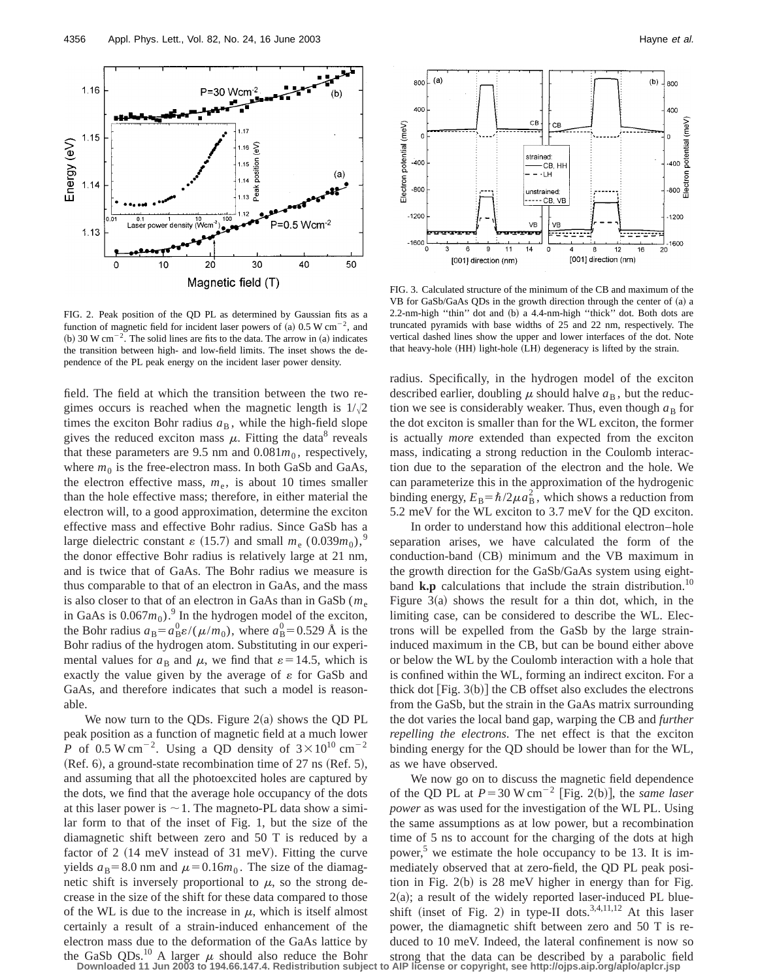

FIG. 2. Peak position of the QD PL as determined by Gaussian fits as a function of magnetic field for incident laser powers of (a)  $0.5 \text{ W cm}^{-2}$ , and (b) 30 W cm<sup>-2</sup>. The solid lines are fits to the data. The arrow in (a) indicates the transition between high- and low-field limits. The inset shows the dependence of the PL peak energy on the incident laser power density.

field. The field at which the transition between the two regimes occurs is reached when the magnetic length is  $1/\sqrt{2}$ times the exciton Bohr radius  $a_B$ , while the high-field slope gives the reduced exciton mass  $\mu$ . Fitting the data<sup>8</sup> reveals that these parameters are  $9.5$  nm and  $0.081m_0$ , respectively, where  $m_0$  is the free-electron mass. In both GaSb and GaAs, the electron effective mass,  $m_e$ , is about 10 times smaller than the hole effective mass; therefore, in either material the electron will, to a good approximation, determine the exciton effective mass and effective Bohr radius. Since GaSb has a large dielectric constant  $\varepsilon$  (15.7) and small  $m_e$  (0.039 $m_0$ ),<sup>9</sup> the donor effective Bohr radius is relatively large at 21 nm, and is twice that of GaAs. The Bohr radius we measure is thus comparable to that of an electron in GaAs, and the mass is also closer to that of an electron in GaAs than in GaSb  $(m_e)$ in GaAs is  $0.067m_0$ .<sup>9</sup> In the hydrogen model of the exciton, the Bohr radius  $a_B = a_B^0 \varepsilon / (\mu / m_0)$ , where  $a_B^0 = 0.529$  Å is the Bohr radius of the hydrogen atom. Substituting in our experimental values for  $a_B$  and  $\mu$ , we find that  $\varepsilon = 14.5$ , which is exactly the value given by the average of  $\varepsilon$  for GaSb and GaAs, and therefore indicates that such a model is reasonable.

We now turn to the ODs. Figure  $2(a)$  shows the OD PL peak position as a function of magnetic field at a much lower *P* of 0.5 W cm<sup>-2</sup>. Using a QD density of  $3 \times 10^{10}$  cm<sup>-2</sup>  $(Ref. 6)$ , a ground-state recombination time of 27 ns  $(Ref. 5)$ , and assuming that all the photoexcited holes are captured by the dots, we find that the average hole occupancy of the dots at this laser power is  $\sim$  1. The magneto-PL data show a similar form to that of the inset of Fig. 1, but the size of the diamagnetic shift between zero and 50 T is reduced by a factor of  $2$  (14 meV instead of 31 meV). Fitting the curve yields  $a_B = 8.0$  nm and  $\mu = 0.16m_0$ . The size of the diamagnetic shift is inversely proportional to  $\mu$ , so the strong decrease in the size of the shift for these data compared to those of the WL is due to the increase in  $\mu$ , which is itself almost certainly a result of a strain-induced enhancement of the electron mass due to the deformation of the GaAs lattice by the GaSb QDs.<sup>10</sup> A larger  $\mu$  should also reduce the Bohr



FIG. 3. Calculated structure of the minimum of the CB and maximum of the VB for GaSb/GaAs QDs in the growth direction through the center of (a) a 2.2-nm-high "thin" dot and (b) a 4.4-nm-high "thick" dot. Both dots are truncated pyramids with base widths of 25 and 22 nm, respectively. The vertical dashed lines show the upper and lower interfaces of the dot. Note that heavy-hole (HH) light-hole (LH) degeneracy is lifted by the strain.

radius. Specifically, in the hydrogen model of the exciton described earlier, doubling  $\mu$  should halve  $a_B$ , but the reduction we see is considerably weaker. Thus, even though  $a_B$  for the dot exciton is smaller than for the WL exciton, the former is actually *more* extended than expected from the exciton mass, indicating a strong reduction in the Coulomb interaction due to the separation of the electron and the hole. We can parameterize this in the approximation of the hydrogenic binding energy,  $E_B = \hbar/2\mu a_B^2$ , which shows a reduction from 5.2 meV for the WL exciton to 3.7 meV for the QD exciton.

In order to understand how this additional electron–hole separation arises, we have calculated the form of the conduction-band (CB) minimum and the VB maximum in the growth direction for the GaSb/GaAs system using eightband  $\mathbf{k}.\mathbf{p}$  calculations that include the strain distribution.<sup>10</sup> Figure  $3(a)$  shows the result for a thin dot, which, in the limiting case, can be considered to describe the WL. Electrons will be expelled from the GaSb by the large straininduced maximum in the CB, but can be bound either above or below the WL by the Coulomb interaction with a hole that is confined within the WL, forming an indirect exciton. For a thick dot  $[Fig. 3(b)]$  the CB offset also excludes the electrons from the GaSb, but the strain in the GaAs matrix surrounding the dot varies the local band gap, warping the CB and *further repelling the electrons*. The net effect is that the exciton binding energy for the QD should be lower than for the WL, as we have observed.

We now go on to discuss the magnetic field dependence of the OD PL at  $P=30$  W cm<sup>-2</sup> [Fig. 2(b)], the *same laser power* as was used for the investigation of the WL PL. Using the same assumptions as at low power, but a recombination time of 5 ns to account for the charging of the dots at high power,<sup>5</sup> we estimate the hole occupancy to be 13. It is immediately observed that at zero-field, the QD PL peak position in Fig.  $2(b)$  is  $28 \text{ meV}$  higher in energy than for Fig.  $2(a)$ ; a result of the widely reported laser-induced PL blueshift (inset of Fig. 2) in type-II dots.<sup>3,4,11,12</sup> At this laser power, the diamagnetic shift between zero and 50 T is reduced to 10 meV. Indeed, the lateral confinement is now so strong that the data can be described by a parabolic field

**Downloaded 11 Jun 2003 to 194.66.147.4. Redistribution subject to AIP license or copyright, see http://ojps.aip.org/aplo/aplcr.jsp**